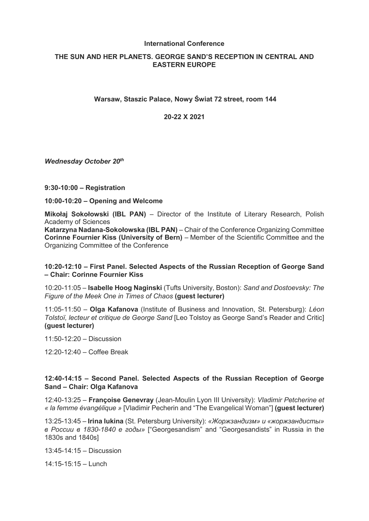#### **International Conference**

# **THE SUN AND HER PLANETS. GEORGE SAND'S RECEPTION IN CENTRAL AND EASTERN EUROPE**

## **Warsaw, Staszic Palace, Nowy Świat 72 street, room 144**

**20-22 X 2021**

*Wednesday October 20th*

#### **9:30-10:00 – Registration**

**10:00-10:20 – Opening and Welcome**

**Mikołaj Sokołowski (IBL PAN)** – Director of the Institute of Literary Research, Polish Academy of Sciences

**Katarzyna Nadana-Sokołowska (IBL PAN)** – Chair of the Conference Organizing Committee **Corinne Fournier Kiss (University of Bern)** – Member of the Scientific Committee and the Organizing Committee of the Conference

## **10:20-12:10 – First Panel. Selected Aspects of the Russian Reception of George Sand – Chair: Corinne Fournier Kiss**

10:20-11:05 – **Isabelle Hoog Naginski** (Tufts University, Boston): *Sand and Dostoevsky: The Figure of the Meek One in Times of Chaos* **(guest lecturer)**

11:05-11:50 – **Olga Kafanova** (Institute of Business and Innovation, St. Petersburg): *Léon Tolstoï, lecteur et critique de George Sand* [Leo Tolstoy as George Sand's Reader and Critic] **(guest lecturer)**

11:50-12:20 – Discussion

12:20-12:40 – Coffee Break

## **12:40-14:15 – Second Panel. Selected Aspects of the Russian Reception of George Sand – Chair: Olga Kafanova**

12:40-13:25 – **Françoise Genevray** (Jean-Moulin Lyon III University): *Vladimir Petcherine et « la femme évangélique »* [Vladimir Pecherin and "The Evangelical Woman"] **(guest lecturer)**

13:25-13:45 – **Irina Iukina** (St. Petersburg University): *«Жоржзандизм» и «жоржзандисты» в России в 1830-1840 е годы»* ["Georgesandism" and "Georgesandists" in Russia in the 1830s and 1840s]

13:45-14:15 – Discussion

14:15-15:15 – Lunch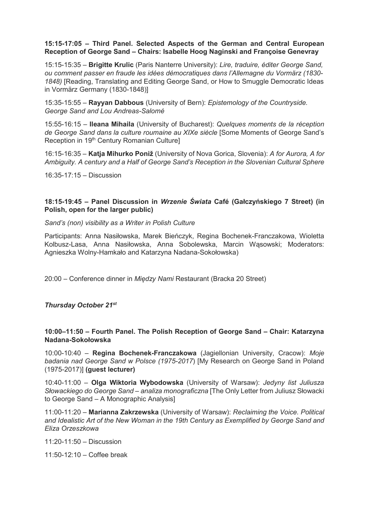## **15:15-17:05 – Third Panel. Selected Aspects of the German and Central European Reception of George Sand – Chairs: Isabelle Hoog Naginski and Françoise Genevray**

15:15-15:35 – **Brigitte Krulic** (Paris Nanterre University): *Lire, traduire, éditer George Sand, ou comment passer en fraude les idées démocratiques dans l'Allemagne du Vormärz (1830- 1848)* [Reading, Translating and Editing George Sand, or How to Smuggle Democratic Ideas in Vormärz Germany (1830-1848)]

15:35-15:55 – **Rayyan Dabbous** (University of Bern): *Epistemology of the Countryside. George Sand and Lou Andreas-Salomé*

15:55-16:15 – **Ileana Mihaila** (University of Bucharest): *Quelques moments de la réception*  de George Sand dans la culture roumaine au XIXe siècle [Some Moments of George Sand's Reception in 19<sup>th</sup> Century Romanian Culture]

16:15-16:35 – **Katja Mihurko Poniž** (University of Nova Gorica, Slovenia): *A for Aurora, A for Ambiguity. A century and a Half of George Sand's Reception in the Slovenian Cultural Sphere*

16:35-17:15 – Discussion

## **18:15-19:45 – Panel Discussion in** *Wrzenie Świata* **Café (Gałczyńskiego 7 Street) (in Polish, open for the larger public)**

*Sand's (non) visibility as a Writer in Polish Culture*

Participants: Anna Nasiłowska, Marek Bieńczyk, Regina Bochenek-Franczakowa, Wioletta Kolbusz-Lasa, Anna Nasiłowska, Anna Sobolewska, Marcin Wąsowski; Moderators: Agnieszka Wolny-Hamkało and Katarzyna Nadana-Sokołowska)

20:00 – Conference dinner in *Między Nami* Restaurant (Bracka 20 Street)

*Thursday October 21st*

## **10:00–11:50 – Fourth Panel. The Polish Reception of George Sand – Chair: Katarzyna Nadana-Sokołowska**

10:00-10:40 – **Regina Bochenek-Franczakowa** (Jagiellonian University, Cracow): *Moje badania nad George Sand w Polsce (1975-2017*) [My Research on George Sand in Poland (1975-2017)] **(guest lecturer)**

10:40-11:00 – **Olga Wiktoria Wybodowska** (University of Warsaw): *Jedyny list Juliusza Słowackiego do George Sand – analiza monograficzna* [The Only Letter from Juliusz Słowacki to George Sand – A Monographic Analysis]

11:00-11:20 – **Marianna Zakrzewska** (University of Warsaw): *Reclaiming the Voice. Political and Idealistic Art of the New Woman in the 19th Century as Exemplified by George Sand and Eliza Orzeszkowa*

 $11:20-11:50$  – Discussion

11:50-12:10 – Coffee break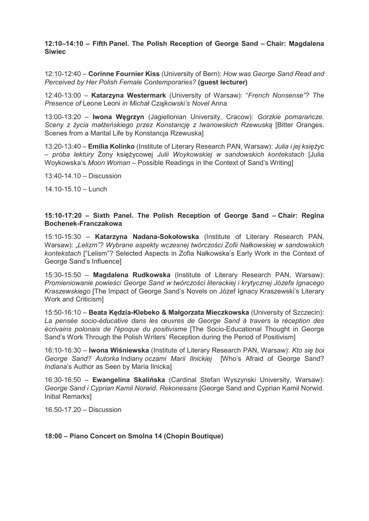**12:10–14:10 – Fifth Panel. The Polish Reception of George Sand – Chair: Magdalena Siwiec**

12:10-12:40 – **Corinne Fournier Kiss** (University of Bern): *How was George Sand Read and Perceived by Her Polish Female Contemporaries?* **(guest lecturer)**

12:40-13:00 – **Katarzyna Westermark** (University of Warsaw): "*French Nonsense"? The Presence of* Leone Leoni *in Michał Czajkowski's Novel* Anna

13:00-13:20 – **Iwona Węgrzyn** (Jagiellonian University, Cracow): *Gorzkie pomarańcze. Sceny z życia małżeńskiego przez Konstancję z Iwanowskich Rzewuską* [Bitter Oranges. Scenes from a Marital Life by Konstancja Rzewuska]

13:20-13:40 – **Emilia Kolinko** (Institute of Literary Research PAN, Warsaw): *Julia i jej księżyc – próba lektury* Żony księżycowej *Julii Woykowskiej w sandowskich kontekstach* [Julia Woykowska's *Moon Woman –* Possible Readings in the Context of Sand's Writing]

 $13:40-14.10 -$  Discussion

14.10-15.10 – Lunch

#### **15:10-17:20 – Sixth Panel. The Polish Reception of George Sand – Chair: Regina Bochenek-Franczakowa**

15:10-15:30 – **Katarzyna Nadana-Sokołowska** (Institute of Literary Research PAN, Warsaw): *"Lelizm"? Wybrane aspekty wczesnej twórczości Zofii Nałkowskiej w sandowskich kontekstach* ["Lelism"? Selected Aspects in Zofia Nałkowska's Early Work in the Context of George Sand's Influence]

15:30-15:50 – **Magdalena Rudkowska** (Institute of Literary Research PAN, Warsaw): *Promieniowanie powieści George Sand w twórczości literackiej i krytycznej Józefa Ignacego Kraszewskiego* [The Impact of George Sand's Novels on Józef Ignacy Kraszewski's Literary Work and Criticism]

15:50-16:10 – **Beata Kędzia-Klebeko & Małgorzata Mieczkowska** (University of Szczecin): *La pensée socio-éducative dans les œuvres de George Sand à travers la réception des écrivains polonais de l'époque du positivisme* [The Socio-Educational Thought in George Sand's Work Through the Polish Writers' Reception during the Period of Positivism]

16:10-16:30 – **Iwona Wiśniewska** (Institute of Literary Research PAN, Warsaw): *Kto się boi George Sand? Autorka* Indiany *oczami Marii Ilnickiej* [Who's Afraid of George Sand? *Indiana*'s Author as Seen by Maria Ilnicka]

16:30-16:50 – **Ewangelina Skalińska** (Cardinal Stefan Wyszynski University, Warsaw): *George Sand i Cyprian Kamil Norwid. Rekonesans* [George Sand and Cyprian Kamil Norwid. Initial Remarks]

16.50-17.20 – Discussion

#### **18:00 – Piano Concert on Smolna 14 (Chopin Boutique)**